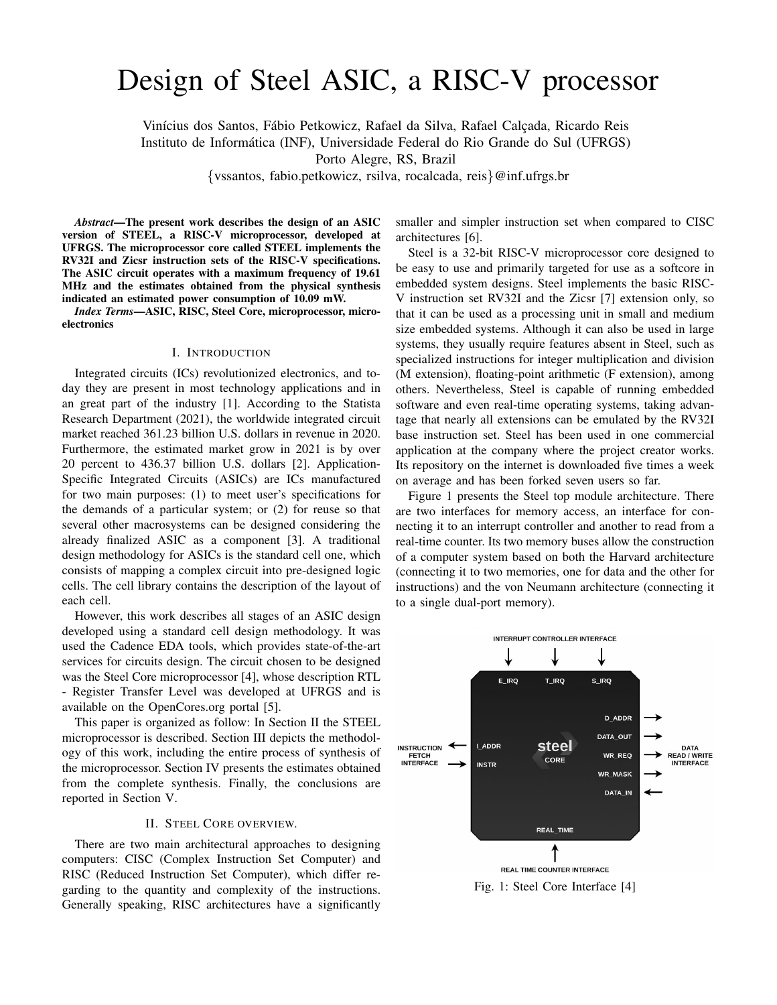# Design of Steel ASIC, a RISC-V processor

Vinícius dos Santos, Fábio Petkowicz, Rafael da Silva, Rafael Calçada, Ricardo Reis Instituto de Informatica (INF), Universidade Federal do Rio Grande do Sul (UFRGS) ´ Porto Alegre, RS, Brazil

{vssantos, fabio.petkowicz, rsilva, rocalcada, reis}@inf.ufrgs.br

*Abstract*—The present work describes the design of an ASIC version of STEEL, a RISC-V microprocessor, developed at UFRGS. The microprocessor core called STEEL implements the RV32I and Zicsr instruction sets of the RISC-V specifications. The ASIC circuit operates with a maximum frequency of 19.61 MHz and the estimates obtained from the physical synthesis indicated an estimated power consumption of 10.09 mW.

*Index Terms*—ASIC, RISC, Steel Core, microprocessor, microelectronics

#### I. INTRODUCTION

Integrated circuits (ICs) revolutionized electronics, and today they are present in most technology applications and in an great part of the industry [1]. According to the Statista Research Department (2021), the worldwide integrated circuit market reached 361.23 billion U.S. dollars in revenue in 2020. Furthermore, the estimated market grow in 2021 is by over 20 percent to 436.37 billion U.S. dollars [2]. Application-Specific Integrated Circuits (ASICs) are ICs manufactured for two main purposes: (1) to meet user's specifications for the demands of a particular system; or (2) for reuse so that several other macrosystems can be designed considering the already finalized ASIC as a component [3]. A traditional design methodology for ASICs is the standard cell one, which consists of mapping a complex circuit into pre-designed logic cells. The cell library contains the description of the layout of each cell.

However, this work describes all stages of an ASIC design developed using a standard cell design methodology. It was used the Cadence EDA tools, which provides state-of-the-art services for circuits design. The circuit chosen to be designed was the Steel Core microprocessor [4], whose description RTL - Register Transfer Level was developed at UFRGS and is available on the OpenCores.org portal [5].

This paper is organized as follow: In Section II the STEEL microprocessor is described. Section III depicts the methodology of this work, including the entire process of synthesis of the microprocessor. Section IV presents the estimates obtained from the complete synthesis. Finally, the conclusions are reported in Section V.

### II. STEEL CORE OVERVIEW.

There are two main architectural approaches to designing computers: CISC (Complex Instruction Set Computer) and RISC (Reduced Instruction Set Computer), which differ regarding to the quantity and complexity of the instructions. Generally speaking, RISC architectures have a significantly smaller and simpler instruction set when compared to CISC architectures [6].

Steel is a 32-bit RISC-V microprocessor core designed to be easy to use and primarily targeted for use as a softcore in embedded system designs. Steel implements the basic RISC-V instruction set RV32I and the Zicsr [7] extension only, so that it can be used as a processing unit in small and medium size embedded systems. Although it can also be used in large systems, they usually require features absent in Steel, such as specialized instructions for integer multiplication and division (M extension), floating-point arithmetic (F extension), among others. Nevertheless, Steel is capable of running embedded software and even real-time operating systems, taking advantage that nearly all extensions can be emulated by the RV32I base instruction set. Steel has been used in one commercial application at the company where the project creator works. Its repository on the internet is downloaded five times a week on average and has been forked seven users so far.

Figure 1 presents the Steel top module architecture. There are two interfaces for memory access, an interface for connecting it to an interrupt controller and another to read from a real-time counter. Its two memory buses allow the construction of a computer system based on both the Harvard architecture (connecting it to two memories, one for data and the other for instructions) and the von Neumann architecture (connecting it to a single dual-port memory).



Fig. 1: Steel Core Interface [4]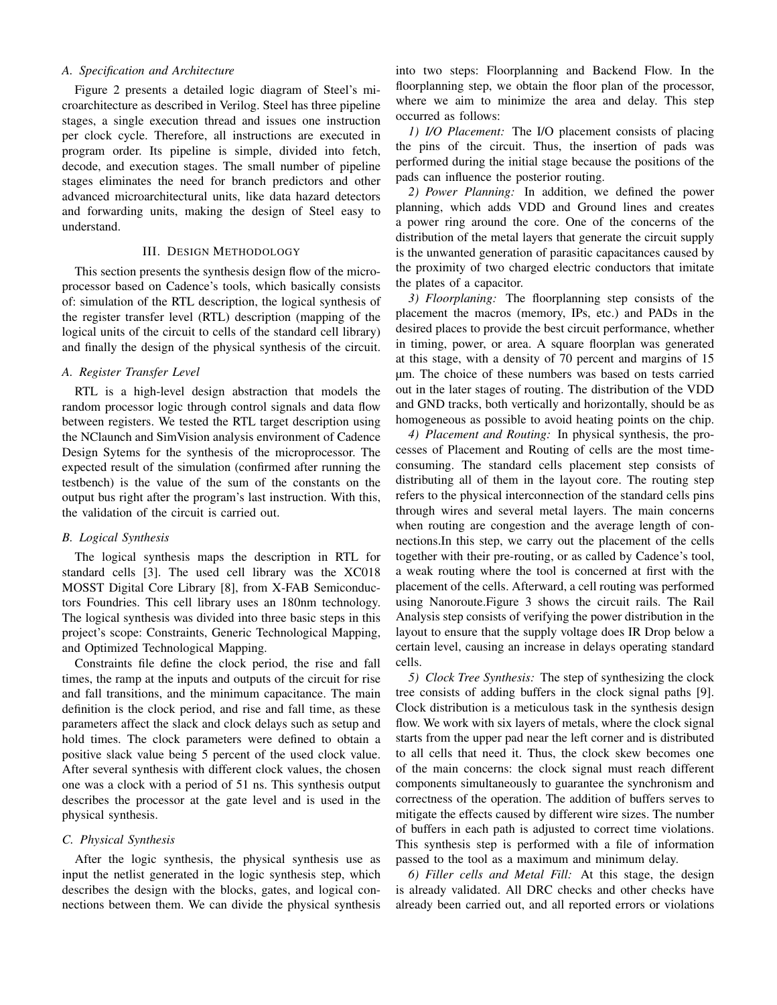# *A. Specification and Architecture*

Figure 2 presents a detailed logic diagram of Steel's microarchitecture as described in Verilog. Steel has three pipeline stages, a single execution thread and issues one instruction per clock cycle. Therefore, all instructions are executed in program order. Its pipeline is simple, divided into fetch, decode, and execution stages. The small number of pipeline stages eliminates the need for branch predictors and other advanced microarchitectural units, like data hazard detectors and forwarding units, making the design of Steel easy to understand.

## III. DESIGN METHODOLOGY

This section presents the synthesis design flow of the microprocessor based on Cadence's tools, which basically consists of: simulation of the RTL description, the logical synthesis of the register transfer level (RTL) description (mapping of the logical units of the circuit to cells of the standard cell library) and finally the design of the physical synthesis of the circuit.

### *A. Register Transfer Level*

RTL is a high-level design abstraction that models the random processor logic through control signals and data flow between registers. We tested the RTL target description using the NClaunch and SimVision analysis environment of Cadence Design Sytems for the synthesis of the microprocessor. The expected result of the simulation (confirmed after running the testbench) is the value of the sum of the constants on the output bus right after the program's last instruction. With this, the validation of the circuit is carried out.

## *B. Logical Synthesis*

The logical synthesis maps the description in RTL for standard cells [3]. The used cell library was the XC018 MOSST Digital Core Library [8], from X-FAB Semiconductors Foundries. This cell library uses an 180nm technology. The logical synthesis was divided into three basic steps in this project's scope: Constraints, Generic Technological Mapping, and Optimized Technological Mapping.

Constraints file define the clock period, the rise and fall times, the ramp at the inputs and outputs of the circuit for rise and fall transitions, and the minimum capacitance. The main definition is the clock period, and rise and fall time, as these parameters affect the slack and clock delays such as setup and hold times. The clock parameters were defined to obtain a positive slack value being 5 percent of the used clock value. After several synthesis with different clock values, the chosen one was a clock with a period of 51 ns. This synthesis output describes the processor at the gate level and is used in the physical synthesis.

#### *C. Physical Synthesis*

After the logic synthesis, the physical synthesis use as input the netlist generated in the logic synthesis step, which describes the design with the blocks, gates, and logical connections between them. We can divide the physical synthesis into two steps: Floorplanning and Backend Flow. In the floorplanning step, we obtain the floor plan of the processor, where we aim to minimize the area and delay. This step occurred as follows:

*1) I/O Placement:* The I/O placement consists of placing the pins of the circuit. Thus, the insertion of pads was performed during the initial stage because the positions of the pads can influence the posterior routing.

*2) Power Planning:* In addition, we defined the power planning, which adds VDD and Ground lines and creates a power ring around the core. One of the concerns of the distribution of the metal layers that generate the circuit supply is the unwanted generation of parasitic capacitances caused by the proximity of two charged electric conductors that imitate the plates of a capacitor.

*3) Floorplaning:* The floorplanning step consists of the placement the macros (memory, IPs, etc.) and PADs in the desired places to provide the best circuit performance, whether in timing, power, or area. A square floorplan was generated at this stage, with a density of 70 percent and margins of 15 µm. The choice of these numbers was based on tests carried out in the later stages of routing. The distribution of the VDD and GND tracks, both vertically and horizontally, should be as homogeneous as possible to avoid heating points on the chip.

*4) Placement and Routing:* In physical synthesis, the processes of Placement and Routing of cells are the most timeconsuming. The standard cells placement step consists of distributing all of them in the layout core. The routing step refers to the physical interconnection of the standard cells pins through wires and several metal layers. The main concerns when routing are congestion and the average length of connections.In this step, we carry out the placement of the cells together with their pre-routing, or as called by Cadence's tool, a weak routing where the tool is concerned at first with the placement of the cells. Afterward, a cell routing was performed using Nanoroute.Figure 3 shows the circuit rails. The Rail Analysis step consists of verifying the power distribution in the layout to ensure that the supply voltage does IR Drop below a certain level, causing an increase in delays operating standard cells.

*5) Clock Tree Synthesis:* The step of synthesizing the clock tree consists of adding buffers in the clock signal paths [9]. Clock distribution is a meticulous task in the synthesis design flow. We work with six layers of metals, where the clock signal starts from the upper pad near the left corner and is distributed to all cells that need it. Thus, the clock skew becomes one of the main concerns: the clock signal must reach different components simultaneously to guarantee the synchronism and correctness of the operation. The addition of buffers serves to mitigate the effects caused by different wire sizes. The number of buffers in each path is adjusted to correct time violations. This synthesis step is performed with a file of information passed to the tool as a maximum and minimum delay.

*6) Filler cells and Metal Fill:* At this stage, the design is already validated. All DRC checks and other checks have already been carried out, and all reported errors or violations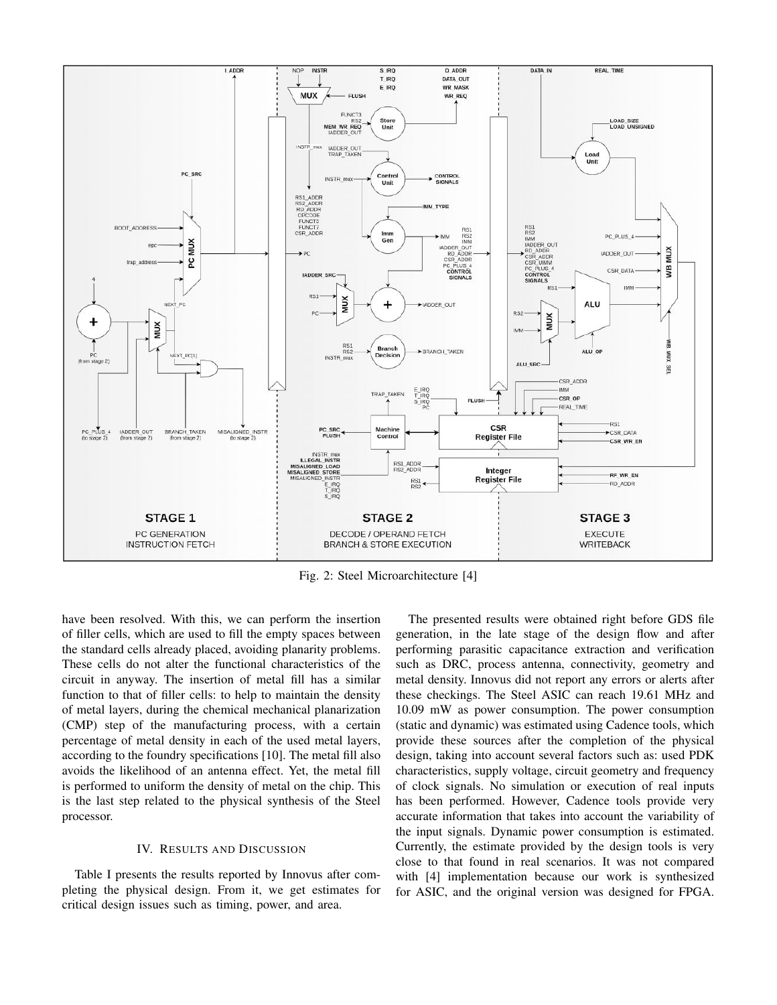

Fig. 2: Steel Microarchitecture [4]

have been resolved. With this, we can perform the insertion of filler cells, which are used to fill the empty spaces between the standard cells already placed, avoiding planarity problems. These cells do not alter the functional characteristics of the circuit in anyway. The insertion of metal fill has a similar function to that of filler cells: to help to maintain the density of metal layers, during the chemical mechanical planarization (CMP) step of the manufacturing process, with a certain percentage of metal density in each of the used metal layers, according to the foundry specifications [10]. The metal fill also avoids the likelihood of an antenna effect. Yet, the metal fill is performed to uniform the density of metal on the chip. This is the last step related to the physical synthesis of the Steel processor.

#### IV. RESULTS AND DISCUSSION

Table I presents the results reported by Innovus after completing the physical design. From it, we get estimates for critical design issues such as timing, power, and area.

The presented results were obtained right before GDS file generation, in the late stage of the design flow and after performing parasitic capacitance extraction and verification such as DRC, process antenna, connectivity, geometry and metal density. Innovus did not report any errors or alerts after these checkings. The Steel ASIC can reach 19.61 MHz and 10.09 mW as power consumption. The power consumption (static and dynamic) was estimated using Cadence tools, which provide these sources after the completion of the physical design, taking into account several factors such as: used PDK characteristics, supply voltage, circuit geometry and frequency of clock signals. No simulation or execution of real inputs has been performed. However, Cadence tools provide very accurate information that takes into account the variability of the input signals. Dynamic power consumption is estimated. Currently, the estimate provided by the design tools is very close to that found in real scenarios. It was not compared with [4] implementation because our work is synthesized for ASIC, and the original version was designed for FPGA.